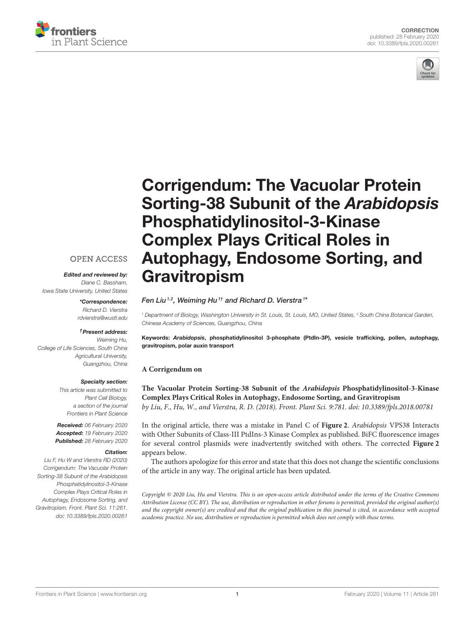



# Corrigendum: The Vacuolar Protein Sorting-38 Subunit of the Arabidopsis Phosphatidylinositol-3-Kinase Complex Plays Critical Roles in [Autophagy, Endosome Sorting, and](https://www.frontiersin.org/articles/10.3389/fpls.2020.00261/full) **Gravitropism**

# [Fen Liu](http://loop.frontiersin.org/people/570437/overview)<sup>1,2</sup>, [Weiming Hu](http://loop.frontiersin.org/people/533514/overview)<sup>1†</sup> and [Richard D. Vierstra](http://loop.frontiersin.org/people/533450/overview)<sup>1\*</sup>

*<sup>1</sup> Department of Biology, Washington University in St. Louis, St. Louis, MO, United States, <sup>2</sup> South China Botanical Garden, Chinese Academy of Sciences, Guangzhou, China*

Keywords: Arabidopsis, phosphatidylinositol 3-phosphate (PtdIn-3P), vesicle trafficking, pollen, autophagy, gravitropism, polar auxin transport

## **A Corrigendum on**

**The Vacuolar Protein Sorting-38 Subunit of the Arabidopsis Phosphatidylinositol-3-Kinase [Complex Plays Critical Roles in Autophagy, Endosome Sorting, and Gravitropism](https://doi.org/10.3389/fpls.2018.00781)** by Liu, F., Hu, W., and Vierstra, R. D. (2018). Front. Plant Sci. 9:781. doi: [10.3389/fpls.2018.00781](https://doi.org/10.3389/fpls.2018.00781)

In the original article, there was a mistake in Panel C of **[Figure 2](#page-1-0)**. Arabidopsis VPS38 Interacts with Other Subunits of Class-III PtdIns-3 Kinase Complex as published. BiFC fluorescence images for several control plasmids were inadvertently switched with others. The corrected **[Figure 2](#page-1-0)** appears below.

The authors apologize for this error and state that this does not change the scientific conclusions of the article in any way. The original article has been updated.

Copyright © 2020 Liu, Hu and Vierstra. This is an open-access article distributed under the terms of the [Creative Commons](http://creativecommons.org/licenses/by/4.0/) [Attribution License \(CC BY\).](http://creativecommons.org/licenses/by/4.0/) The use, distribution or reproduction in other forums is permitted, provided the original author(s) and the copyright owner(s) are credited and that the original publication in this journal is cited, in accordance with accepted academic practice. No use, distribution or reproduction is permitted which does not comply with these terms.

# **OPEN ACCESS**

Edited and reviewed by: *Diane C. Bassham, Iowa State University, United States*

> \*Correspondence: *Richard D. Vierstra [rdvierstra@wustl.edu](mailto:rdvierstra@wustl.edu)*

### †Present address:

*Weiming Hu, College of Life Sciences, South China Agricultural University, Guangzhou, China*

#### Specialty section:

*This article was submitted to Plant Cell Biology, a section of the journal Frontiers in Plant Science*

Received: *06 February 2020* Accepted: *19 February 2020* Published: *28 February 2020*

### Citation:

*Liu F, Hu W and Vierstra RD (2020) Corrigendum: The Vacuolar Protein Sorting-38 Subunit of the Arabidopsis Phosphatidylinositol-3-Kinase Complex Plays Critical Roles in Autophagy, Endosome Sorting, and Gravitropism. Front. Plant Sci. 11:261. doi: [10.3389/fpls.2020.00261](https://doi.org/10.3389/fpls.2020.00261)*